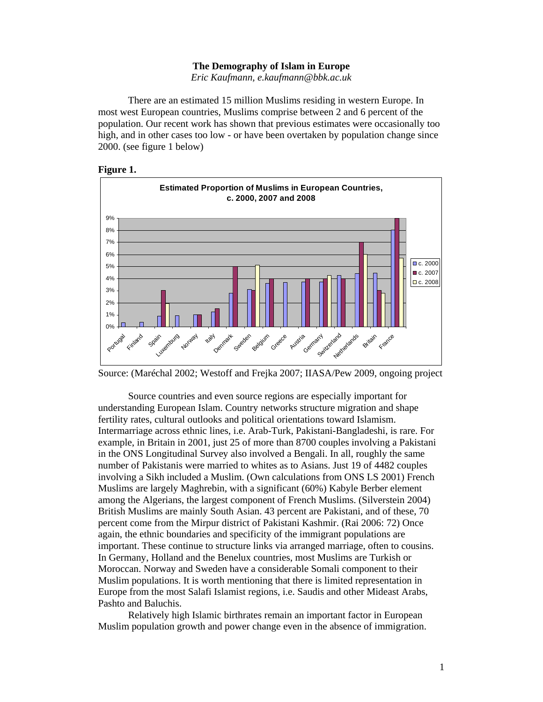### **The Demography of Islam in Europe**

*Eric Kaufmann, e.kaufmann@bbk.ac.uk* 

 There are an estimated 15 million Muslims residing in western Europe. In most west European countries, Muslims comprise between 2 and 6 percent of the population. Our recent work has shown that previous estimates were occasionally too high, and in other cases too low - or have been overtaken by population change since 2000. (see figure 1 below)





Source: (Maréchal 2002; Westoff and Frejka 2007; IIASA/Pew 2009, ongoing project

Source countries and even source regions are especially important for understanding European Islam. Country networks structure migration and shape fertility rates, cultural outlooks and political orientations toward Islamism. Intermarriage across ethnic lines, i.e. Arab-Turk, Pakistani-Bangladeshi, is rare. For example, in Britain in 2001, just 25 of more than 8700 couples involving a Pakistani in the ONS Longitudinal Survey also involved a Bengali. In all, roughly the same number of Pakistanis were married to whites as to Asians. Just 19 of 4482 couples involving a Sikh included a Muslim. (Own calculations from ONS LS 2001) French Muslims are largely Maghrebin, with a significant (60%) Kabyle Berber element among the Algerians, the largest component of French Muslims. (Silverstein 2004) British Muslims are mainly South Asian. 43 percent are Pakistani, and of these, 70 percent come from the Mirpur district of Pakistani Kashmir. (Rai 2006: 72) Once again, the ethnic boundaries and specificity of the immigrant populations are important. These continue to structure links via arranged marriage, often to cousins. In Germany, Holland and the Benelux countries, most Muslims are Turkish or Moroccan. Norway and Sweden have a considerable Somali component to their Muslim populations. It is worth mentioning that there is limited representation in Europe from the most Salafi Islamist regions, i.e. Saudis and other Mideast Arabs, Pashto and Baluchis.

Relatively high Islamic birthrates remain an important factor in European Muslim population growth and power change even in the absence of immigration.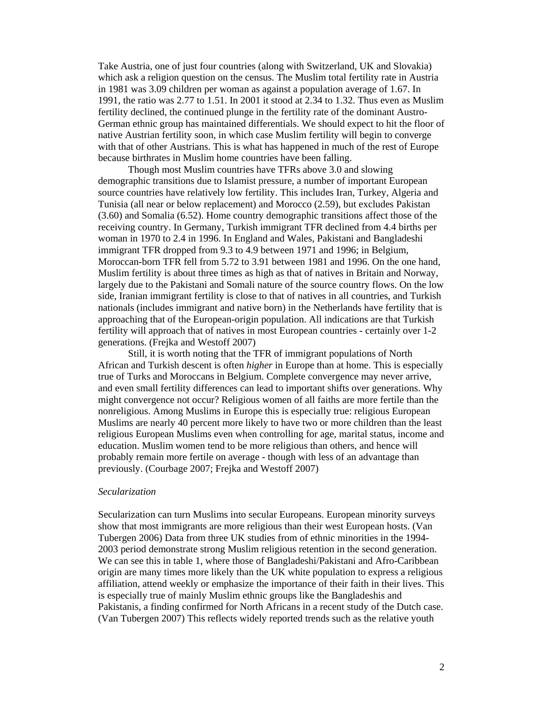Take Austria, one of just four countries (along with Switzerland, UK and Slovakia) which ask a religion question on the census. The Muslim total fertility rate in Austria in 1981 was 3.09 children per woman as against a population average of 1.67. In 1991, the ratio was 2.77 to 1.51. In 2001 it stood at 2.34 to 1.32. Thus even as Muslim fertility declined, the continued plunge in the fertility rate of the dominant Austro-German ethnic group has maintained differentials. We should expect to hit the floor of native Austrian fertility soon, in which case Muslim fertility will begin to converge with that of other Austrians. This is what has happened in much of the rest of Europe because birthrates in Muslim home countries have been falling.

Though most Muslim countries have TFRs above 3.0 and slowing demographic transitions due to Islamist pressure, a number of important European source countries have relatively low fertility. This includes Iran, Turkey, Algeria and Tunisia (all near or below replacement) and Morocco (2.59), but excludes Pakistan (3.60) and Somalia (6.52). Home country demographic transitions affect those of the receiving country. In Germany, Turkish immigrant TFR declined from 4.4 births per woman in 1970 to 2.4 in 1996. In England and Wales, Pakistani and Bangladeshi immigrant TFR dropped from 9.3 to 4.9 between 1971 and 1996; in Belgium, Moroccan-born TFR fell from 5.72 to 3.91 between 1981 and 1996. On the one hand, Muslim fertility is about three times as high as that of natives in Britain and Norway, largely due to the Pakistani and Somali nature of the source country flows. On the low side, Iranian immigrant fertility is close to that of natives in all countries, and Turkish nationals (includes immigrant and native born) in the Netherlands have fertility that is approaching that of the European-origin population. All indications are that Turkish fertility will approach that of natives in most European countries - certainly over 1-2 generations. (Frejka and Westoff 2007)

Still, it is worth noting that the TFR of immigrant populations of North African and Turkish descent is often *higher* in Europe than at home. This is especially true of Turks and Moroccans in Belgium. Complete convergence may never arrive, and even small fertility differences can lead to important shifts over generations. Why might convergence not occur? Religious women of all faiths are more fertile than the nonreligious. Among Muslims in Europe this is especially true: religious European Muslims are nearly 40 percent more likely to have two or more children than the least religious European Muslims even when controlling for age, marital status, income and education. Muslim women tend to be more religious than others, and hence will probably remain more fertile on average - though with less of an advantage than previously. (Courbage 2007; Frejka and Westoff 2007)

### *Secularization*

Secularization can turn Muslims into secular Europeans. European minority surveys show that most immigrants are more religious than their west European hosts. (Van Tubergen 2006) Data from three UK studies from of ethnic minorities in the 1994- 2003 period demonstrate strong Muslim religious retention in the second generation. We can see this in table 1, where those of Bangladeshi/Pakistani and Afro-Caribbean origin are many times more likely than the UK white population to express a religious affiliation, attend weekly or emphasize the importance of their faith in their lives. This is especially true of mainly Muslim ethnic groups like the Bangladeshis and Pakistanis, a finding confirmed for North Africans in a recent study of the Dutch case. (Van Tubergen 2007) This reflects widely reported trends such as the relative youth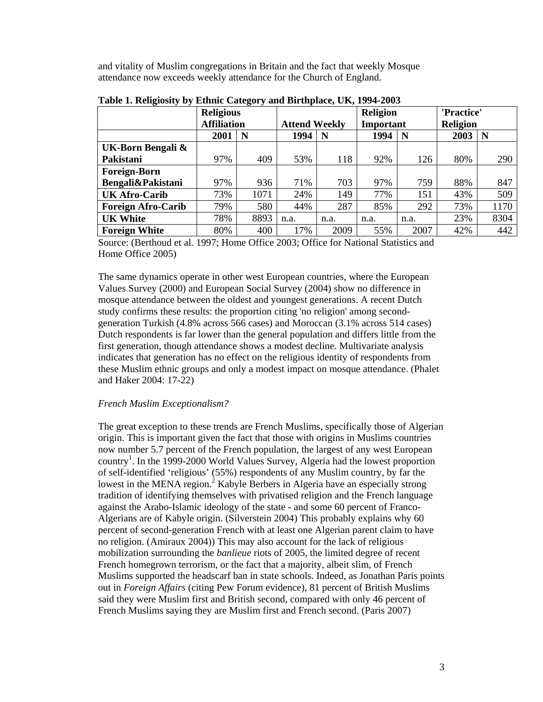and vitality of Muslim congregations in Britain and the fact that weekly Mosque attendance now exceeds weekly attendance for the Church of England.

| - - -                     | - <del>. .</del> - - .<br><b>Religious</b> |      |                      | <b>Religion</b> |           |      | 'Practice'      |      |
|---------------------------|--------------------------------------------|------|----------------------|-----------------|-----------|------|-----------------|------|
|                           | <b>Affiliation</b>                         |      | <b>Attend Weekly</b> |                 | Important |      | <b>Religion</b> |      |
|                           | 2001                                       | N    | 1994                 | N               | 1994      | N    | 2003            | N    |
| UK-Born Bengali &         |                                            |      |                      |                 |           |      |                 |      |
| Pakistani                 | 97%                                        | 409  | 53%                  | 118             | 92%       | 126  | 80%             | 290  |
| <b>Foreign-Born</b>       |                                            |      |                      |                 |           |      |                 |      |
| Bengali&Pakistani         | 97%                                        | 936  | 71%                  | 703             | 97%       | 759  | 88%             | 847  |
| <b>UK Afro-Carib</b>      | 73%                                        | 1071 | 24%                  | 149             | 77%       | 151  | 43%             | 509  |
| <b>Foreign Afro-Carib</b> | 79%                                        | 580  | 44%                  | 287             | 85%       | 292  | 73%             | 1170 |
| <b>UK White</b>           | 78%                                        | 8893 | n.a.                 | n.a.            | n.a.      | n.a. | 23%             | 8304 |
| <b>Foreign White</b>      | 80%                                        | 400  | 17%                  | 2009            | 55%       | 2007 | 42%             | 442  |

**Table 1. Religiosity by Ethnic Category and Birthplace, UK, 1994-2003** 

Source: (Berthoud et al. 1997; Home Office 2003; Office for National Statistics and Home Office 2005)

The same dynamics operate in other west European countries, where the European Values Survey (2000) and European Social Survey (2004) show no difference in mosque attendance between the oldest and youngest generations. A recent Dutch study confirms these results: the proportion citing 'no religion' among secondgeneration Turkish (4.8% across 566 cases) and Moroccan (3.1% across 514 cases) Dutch respondents is far lower than the general population and differs little from the first generation, though attendance shows a modest decline. Multivariate analysis indicates that generation has no effect on the religious identity of respondents from these Muslim ethnic groups and only a modest impact on mosque attendance. (Phalet and Haker 2004: 17-22)

# *French Muslim Exceptionalism?*

The great exception to these trends are French Muslims, specifically those of Algerian origin. This is important given the fact that those with origins in Muslims countries now number 5.7 percent of the French population, the largest of any west European country<sup>1</sup>. In the 1999-2000 World Values Survey, Algeria had the lowest proportion of self-identified 'religious' (55%) respondents of any Muslim country, by far the lowest in the MENA region.<sup>2</sup> Kabyle Berbers in Algeria have an especially strong tradition of identifying themselves with privatised religion and the French language against the Arabo-Islamic ideology of the state - and some 60 percent of Franco-Algerians are of Kabyle origin. (Silverstein 2004) This probably explains why 60 percent of second-generation French with at least one Algerian parent claim to have no religion. (Amiraux 2004)) This may also account for the lack of religious mobilization surrounding the *banlieue* riots of 2005, the limited degree of recent French homegrown terrorism, or the fact that a majority, albeit slim, of French Muslims supported the headscarf ban in state schools. Indeed, as Jonathan Paris points out in *Foreign Affairs* (citing Pew Forum evidence), 81 percent of British Muslims said they were Muslim first and British second, compared with only 46 percent of French Muslims saying they are Muslim first and French second. (Paris 2007)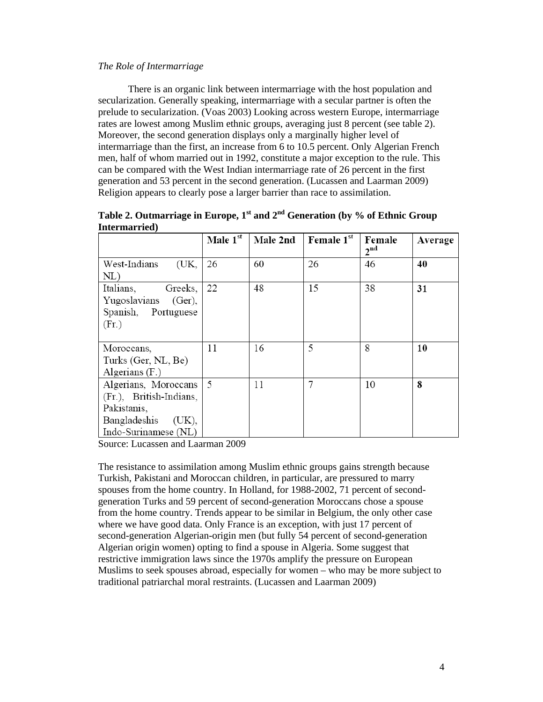## *The Role of Intermarriage*

There is an organic link between intermarriage with the host population and secularization. Generally speaking, intermarriage with a secular partner is often the prelude to secularization. (Voas 2003) Looking across western Europe, intermarriage rates are lowest among Muslim ethnic groups, averaging just 8 percent (see table 2). Moreover, the second generation displays only a marginally higher level of intermarriage than the first, an increase from 6 to 10.5 percent. Only Algerian French men, half of whom married out in 1992, constitute a major exception to the rule. This can be compared with the West Indian intermarriage rate of 26 percent in the first generation and 53 percent in the second generation. (Lucassen and Laarman 2009) Religion appears to clearly pose a larger barrier than race to assimilation.

|                                                                                                                 | Male 1st | Male 2nd | <b>Female</b> $1^{\text{st}}$ | Female<br>2 <sup>nd</sup> | Average |
|-----------------------------------------------------------------------------------------------------------------|----------|----------|-------------------------------|---------------------------|---------|
| West-Indians<br>(UK,<br>NL)                                                                                     | 26       | 60       | 26                            | 46                        | 40      |
| Greeks,<br>Italians,<br>Yugoslavians (Ger),<br>Spanish, Portuguese<br>(Fr.)                                     | 22       | 48       | 15                            | 38                        | 31      |
| Moroccans,<br>Turks (Ger, NL, Be)<br>Algerians $(F.)$                                                           | 11       | 16       | 5                             | 8                         | 10      |
| Algerians, Moroccans<br>(Fr.), British-Indians,<br>Pakistanis,<br>Bangladeshis<br>(UK),<br>Indo-Surinamese (NL) | 5        | 11       | 7                             | 10                        | 8       |

Table 2. Outmarriage in Europe, 1<sup>st</sup> and 2<sup>nd</sup> Generation (by % of Ethnic Group **Intermarried)**

Source: Lucassen and Laarman 2009

The resistance to assimilation among Muslim ethnic groups gains strength because Turkish, Pakistani and Moroccan children, in particular, are pressured to marry spouses from the home country. In Holland, for 1988-2002, 71 percent of secondgeneration Turks and 59 percent of second-generation Moroccans chose a spouse from the home country. Trends appear to be similar in Belgium, the only other case where we have good data. Only France is an exception, with just 17 percent of second-generation Algerian-origin men (but fully 54 percent of second-generation Algerian origin women) opting to find a spouse in Algeria. Some suggest that restrictive immigration laws since the 1970s amplify the pressure on European Muslims to seek spouses abroad, especially for women – who may be more subject to traditional patriarchal moral restraints. (Lucassen and Laarman 2009)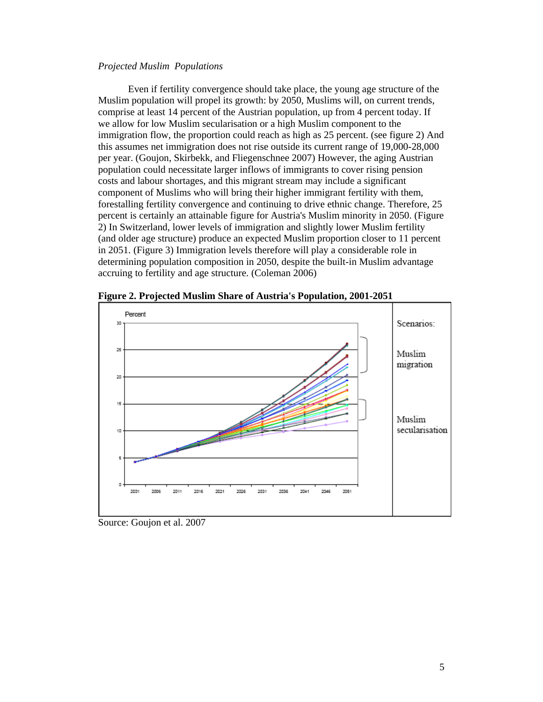### *Projected Muslim Populations*

Even if fertility convergence should take place, the young age structure of the Muslim population will propel its growth: by 2050, Muslims will, on current trends, comprise at least 14 percent of the Austrian population, up from 4 percent today. If we allow for low Muslim secularisation or a high Muslim component to the immigration flow, the proportion could reach as high as 25 percent. (see figure 2) And this assumes net immigration does not rise outside its current range of 19,000-28,000 per year. (Goujon, Skirbekk, and Fliegenschnee 2007) However, the aging Austrian population could necessitate larger inflows of immigrants to cover rising pension costs and labour shortages, and this migrant stream may include a significant component of Muslims who will bring their higher immigrant fertility with them, forestalling fertility convergence and continuing to drive ethnic change. Therefore, 25 percent is certainly an attainable figure for Austria's Muslim minority in 2050. (Figure 2) In Switzerland, lower levels of immigration and slightly lower Muslim fertility (and older age structure) produce an expected Muslim proportion closer to 11 percent in 2051. (Figure 3) Immigration levels therefore will play a considerable role in determining population composition in 2050, despite the built-in Muslim advantage accruing to fertility and age structure. (Coleman 2006)



**Figure 2. Projected Muslim Share of Austria's Population, 2001-2051** 

Source: Goujon et al. 2007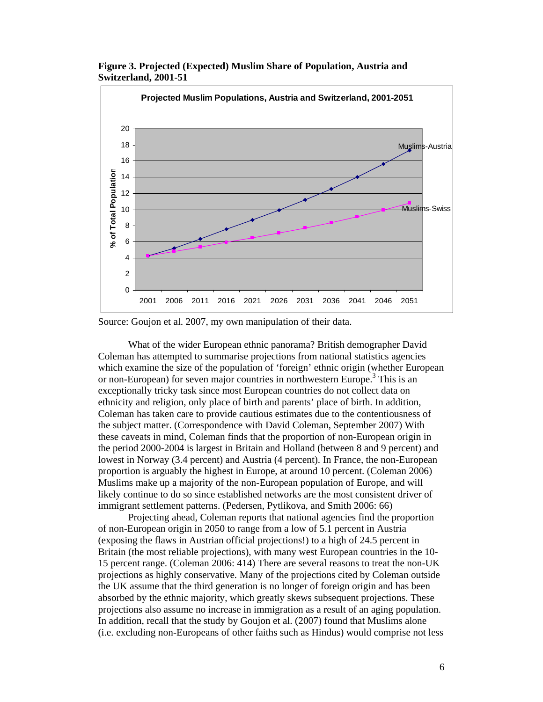

**Figure 3. Projected (Expected) Muslim Share of Population, Austria and Switzerland, 2001-51** 

Source: Goujon et al. 2007, my own manipulation of their data.

What of the wider European ethnic panorama? British demographer David Coleman has attempted to summarise projections from national statistics agencies which examine the size of the population of 'foreign' ethnic origin (whether European or non-European) for seven major countries in northwestern Europe.<sup>3</sup> This is an exceptionally tricky task since most European countries do not collect data on ethnicity and religion, only place of birth and parents' place of birth. In addition, Coleman has taken care to provide cautious estimates due to the contentiousness of the subject matter. (Correspondence with David Coleman, September 2007) With these caveats in mind, Coleman finds that the proportion of non-European origin in the period 2000-2004 is largest in Britain and Holland (between 8 and 9 percent) and lowest in Norway (3.4 percent) and Austria (4 percent). In France, the non-European proportion is arguably the highest in Europe, at around 10 percent. (Coleman 2006) Muslims make up a majority of the non-European population of Europe, and will likely continue to do so since established networks are the most consistent driver of immigrant settlement patterns. (Pedersen, Pytlikova, and Smith 2006: 66)

Projecting ahead, Coleman reports that national agencies find the proportion of non-European origin in 2050 to range from a low of 5.1 percent in Austria (exposing the flaws in Austrian official projections!) to a high of 24.5 percent in Britain (the most reliable projections), with many west European countries in the 10- 15 percent range. (Coleman 2006: 414) There are several reasons to treat the non-UK projections as highly conservative. Many of the projections cited by Coleman outside the UK assume that the third generation is no longer of foreign origin and has been absorbed by the ethnic majority, which greatly skews subsequent projections. These projections also assume no increase in immigration as a result of an aging population. In addition, recall that the study by Goujon et al. (2007) found that Muslims alone (i.e. excluding non-Europeans of other faiths such as Hindus) would comprise not less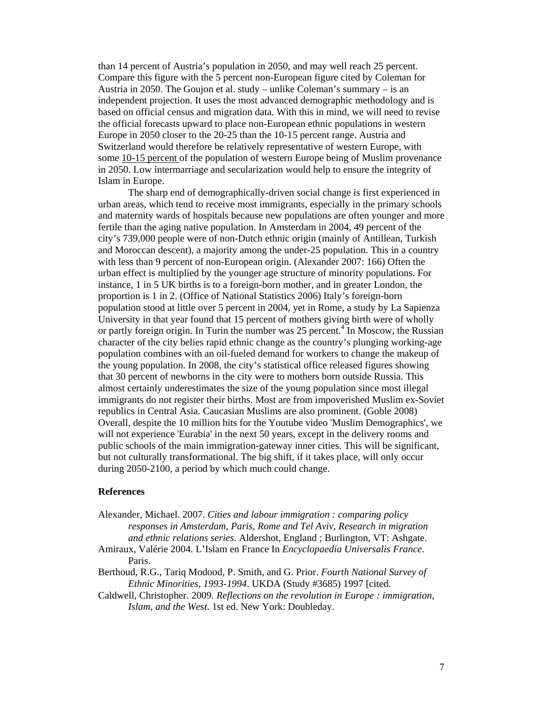than 14 percent of Austria's population in 2050, and may well reach 25 percent. Compare this figure with the 5 percent non-European figure cited by Coleman for Austria in 2050. The Goujon et al. study – unlike Coleman's summary – is an independent projection. It uses the most advanced demographic methodology and is based on official census and migration data. With this in mind, we will need to revise the official forecasts upward to place non-European ethnic populations in western Europe in 2050 closer to the 20-25 than the 10-15 percent range. Austria and Switzerland would therefore be relatively representative of western Europe, with some 10-15 percent of the population of western Europe being of Muslim provenance in 2050. Low intermarriage and secularization would help to ensure the integrity of Islam in Europe.

The sharp end of demographically-driven social change is first experienced in urban areas, which tend to receive most immigrants, especially in the primary schools and maternity wards of hospitals because new populations are often younger and more fertile than the aging native population. In Amsterdam in 2004, 49 percent of the city's 739,000 people were of non-Dutch ethnic origin (mainly of Antillean, Turkish and Moroccan descent), a majority among the under-25 population. This in a country with less than 9 percent of non-European origin. (Alexander 2007: 166) Often the urban effect is multiplied by the younger age structure of minority populations. For instance, 1 in 5 UK births is to a foreign-born mother, and in greater London, the proportion is 1 in 2. (Office of National Statistics 2006) Italy's foreign-born population stood at little over 5 percent in 2004, yet in Rome, a study by La Sapienza University in that year found that 15 percent of mothers giving birth were of wholly or partly foreign origin. In Turin the number was 25 percent.<sup>4</sup> In Moscow, the Russian character of the city belies rapid ethnic change as the country's plunging working-age population combines with an oil-fueled demand for workers to change the makeup of the young population. In 2008, the city's statistical office released figures showing that 30 percent of newborns in the city were to mothers born outside Russia. This almost certainly underestimates the size of the young population since most illegal immigrants do not register their births. Most are from impoverished Muslim ex-Soviet republics in Central Asia. Caucasian Muslims are also prominent. (Goble 2008) Overall, despite the 10 million hits for the Youtube video 'Muslim Demographics', we will not experience 'Eurabia' in the next 50 years, except in the delivery rooms and public schools of the main immigration-gateway inner cities. This will be significant, but not culturally transformational. The big shift, if it takes place, will only occur during 2050-2100, a period by which much could change.

### **References**

- Alexander, Michael. 2007. *Cities and labour immigration : comparing policy responses in Amsterdam, Paris, Rome and Tel Aviv*, *Research in migration and ethnic relations series*. Aldershot, England ; Burlington, VT: Ashgate.
- Amiraux, Valérie 2004. L'Islam en France In *Encyclopaedia Universalis France*. Paris.
- Berthoud, R.G., Tariq Modood, P. Smith, and G. Prior. *Fourth National Survey of Ethnic Minorities, 1993-1994*. UKDA (Study #3685) 1997 [cited.
- Caldwell, Christopher. 2009. *Reflections on the revolution in Europe : immigration, Islam, and the West*. 1st ed. New York: Doubleday.